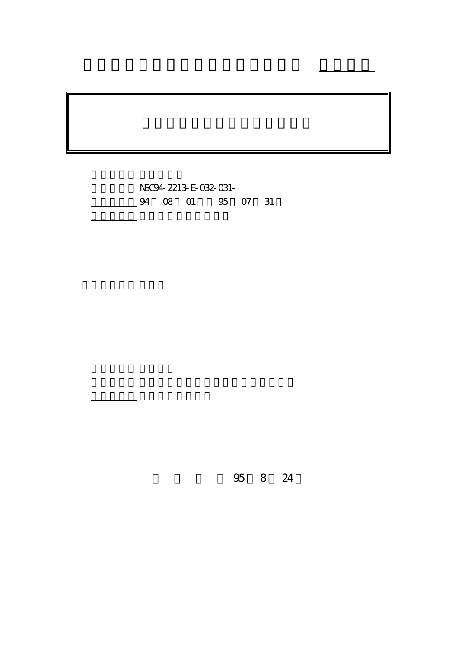計畫編號: NSC94-2213-E-032-031- 4 08 01 95 07 31

報告附件: 出席國際會議研究心得報告及發表論文

執行單位: 淡江大學電機工程學系

計畫主持人: 丘建青

報告類型: 精簡報告

。<br>在前書 : 本計畫可公開查

行政院國家科學委員會專題研究計畫 成果報告

95 8 24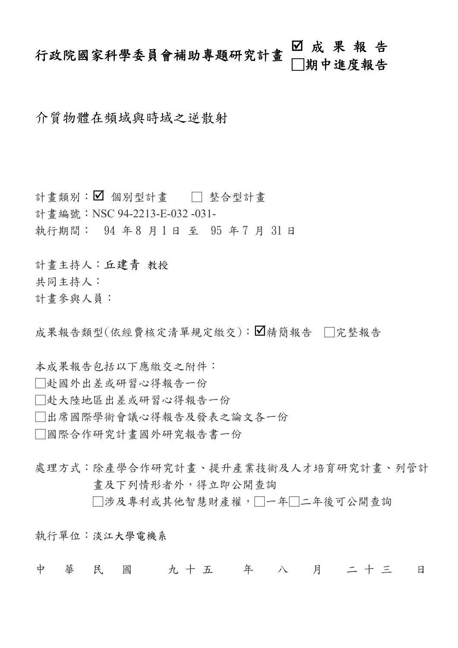# 行政院國家科學委員會補助專題研究計畫 ■ 成 果 報 告<br>□期中進度報告

介質物體在頻域與時域之逆散射

計畫類別: ■ 個別型計畫 □ 整合型計畫 計書編號: NSC 94-2213-E-032 -031-執行期間: 94 年8 月1日 至 95 年7 月 31 日

計畫主持人:丘建青 教授

共同主持人:

計畫參與人員:

成果報告類型(依經費核定清單規定繳交):△精簡報告 □完整報告

本成果報告包括以下應繳交之附件:

□赴國外出差或研習心得報告一份

□赴大陸地區出差或研習心得報告一份

□出席國際學術會議心得報告及發表之論文各一份

□國際合作研究計畫國外研究報告書一份

處理方式:除產學合作研究計書、提升產業技術及人才培育研究計書、列管計 畫及下列情形者外,得立即公開查詢

□涉及專利或其他智慧財產權,□一年□二年後可公開查詢

執行單位:淡江大學電機系

中 華 民 國 九十五 年 八 月 二十三 日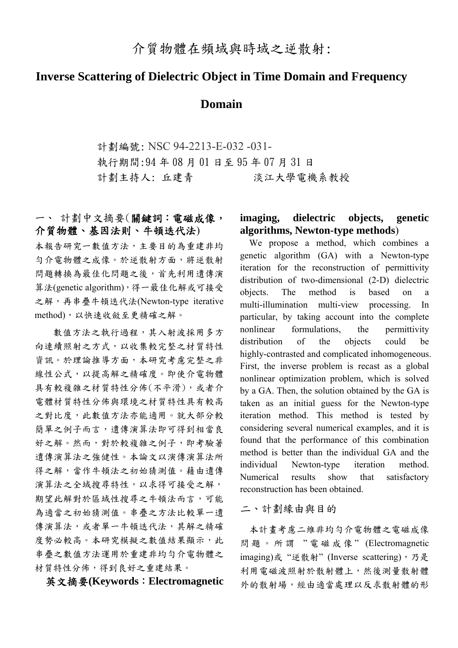# **Inverse Scattering of Dielectric Object in Time Domain and Frequency**

## **Domain**

計劃編號: NSC 94-2213-E-032 -031- 執行期間:94 年 08 月 01 日至 95 年 07 月 31 日 計劃主持人: 丘建青 淡江大學電機系教授

## 一、 計劃中文摘要(關鍵詞:電磁成像, 介質物體、基因法則、牛頓迭代法)

本報告研究一數值方法,主要目的為重建非均 勻介電物體之成像。於逆散射方面,將逆散射 問題轉換為最佳化問題之後,首先利用遺傳演 算法(genetic algorithm),得一最佳化解或可接受 之解,再串疊牛頓迭代法(Newton-type iterative method),以快速收斂至更精確之解。

數值方法之執行過程,其入射波採用多方 向連續照射之方式,以收集較完整之材質特性 資訊。於理論推導方面,本研究考慮完整之非 線性公式,以提高解之精確度。即使介電物體 具有較複雜之材質特性分佈(不平滑),或者介 電體材質特性分佈與環境之材質特性具有較高 之對比度,此數值方法亦能適用。就大部分較 簡單之例子而言,遺傳演算法即可得到相當良 好之解。然而,對於較複雜之例子,即考驗著 遺傳演算法之強健性。本論文以演傳演算法所 得之解,當作牛頓法之初始猜測值。藉由遺傳 演算法之全域搜尋特性,以求得可接受之解, 期望此解對於區域性搜尋之牛頓法而言,可能 為適當之初始猜測值。串疊之方法比較單一遺 傳演算法,或者單一牛頓迭代法,其解之精確 度勢必較高。本研究模擬之數值結果顯示,此 串疊之數值方法運用於重建非均勻介電物體之 材質特性分佈,得到良好之重建結果。

英文摘要**(Keywords**:**Electromagnetic** 

### **imaging, dielectric objects, genetic algorithms, Newton-type methods**)

We propose a method, which combines a genetic algorithm (GA) with a Newton-type iteration for the reconstruction of permittivity distribution of two-dimensional (2-D) dielectric objects. The method is based on a multi-illumination multi-view processing. In particular, by taking account into the complete nonlinear formulations, the permittivity distribution of the objects could be highly-contrasted and complicated inhomogeneous. First, the inverse problem is recast as a global nonlinear optimization problem, which is solved by a GA. Then, the solution obtained by the GA is taken as an initial guess for the Newton-type iteration method. This method is tested by considering several numerical examples, and it is found that the performance of this combination method is better than the individual GA and the individual Newton-type iteration method. Numerical results show that satisfactory reconstruction has been obtained.

二、計劃緣由與目的

本計畫考慮二維非均勻介電物體之電磁成像 問題。所謂 " 電磁成像 " (Electromagnetic imaging)或"逆散射" (Inverse scattering), 乃是 利用電磁波照射於散射體上,然後測量散射體 外的散射場,經由適當處理以反求散射體的形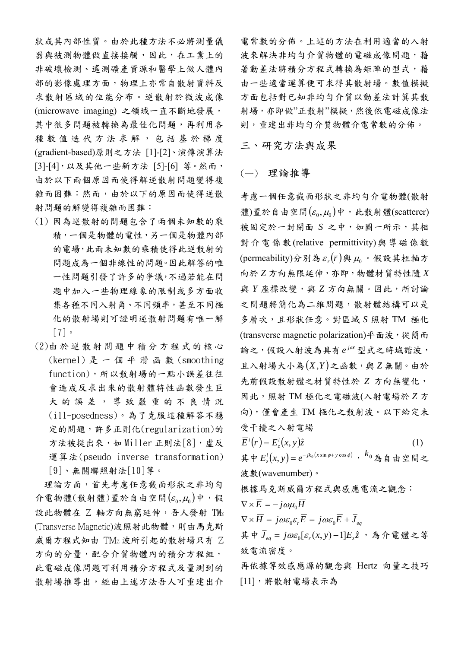狀或其內部性質。由於此種方法不必將測量儀 器與被測物體做直接接觸,因此,在工業上的 非破壞檢測、遙測礦產資源和醫學上做人體內 部的影像處理方面,物理上亦常自散射資料反 求散射區域的位能分布。逆散射於微波成像 (microwave imaging) 之領域一直不斷地發展, 其中很多問題被轉換為最佳化問題,再利用各 種數值迭代方法求解,包括基於梯度 (gradient-based)原則之方法 [1]-[2]、演傳演算法 [3]-[4],以及其他一些新方法 [5]-[6] 等。然而, 由於以下兩個原因而使得解逆散射問題變得複 雜而困難:然而,由於以下的原因而使得逆散 射問題的解變得複雜而困難:

- (1) 因為逆散射的問題包含了兩個未知數的乘 積,一個是物體的電性,另一個是物體內部 的電場,此兩未知數的乘積使得此逆散射的 問題成為一個非線性的問題。因此解答的唯 一性問題引發了許多的爭議,不過若能在問 題中加入一些物理線象的限制或多方面收 集各種不同入射角、不同頻率,甚至不同極 化的散射場則可證明逆散射問題有唯一解 [7]。
- (2)由 於 逆 散 射 問 題 中 積 分 方 程 式 的 核 心 (kernel)是一個平滑函數 (smoothing function),所以散射場的一點小誤差往往 會造成反求出來的散射體特性函數發生巨 大的誤差,導致嚴重的不良情況 (ill-posedness)。為了克服這種解答不穩 定的問題,許多正則化(regularization)的 方法被提出來,如 Miller 正則法[8], 虛反 運算法(pseudo inverse transformation) [9]、無關聯照射法[10]等。

理論方面,首先考慮任意截面形狀之非均勻 介電物體(散射體)置於自由空間 $(\varepsilon_0, \mu_0)$ 中,假 設此物體在 Z 軸方向無窮延伸,吾人發射 TMz (Transverse Magnetic)波照射此物體,則由馬克斯 威爾方程式知由 TMz 波所引起的散射場只有 Z 方向的分量,配合介質物體內的積分方程組, 此電磁成像問題可利用積分方程式及量測到的 散射場推導出,經由上述方法吾人可重建出介

電常數的分佈。上述的方法在利用適當的入射 波來解決非均勻介質物體的電磁成像問題,藉 著動差法將積分方程式轉換為矩陣的型式,藉 由一些適當運算便可求得其散射場。數值模擬 方面包括對已知非均勻介質以動差法計箕其散 射場,亦即做"正散射"模擬,然後依電磁成像法 則,重建出非均勻介質物體介電常數的分佈。

三、研究方法與成果

#### (一) 理論推導

考慮一個任意截面形狀之非均勻介電物體(散射 體)置於自由空間 $(\varepsilon_0, \mu_0)$ 中,此散射體(scatterer) 被固定於一封閉面 *S* 之中,如圖一所示,其相 對介電係數(relative permittivity)與導磁係數 (permeability)分別為  $\varepsilon$  ( $\bar{r}$ )與  $\mu$ <sup>0</sup> 假設其柱軸方 向於 *Z* 方向無限延伸,亦即,物體材質特性隨 *X* 與 *Y* 座標改變,與 Z 方向無關。因此,所討論 之問題將簡化為二維問題,散射體結構可以是 多層次,且形狀任意。對區域 *S* 照射 TM 極化 (transverse magnetic polarization)平面波,從簡而 論之,假設入射波為具有 *<sup>j</sup> <sup>t</sup> e* <sup>ω</sup> 型式之時域諧波, 且入射場大小為(*X*,*Y* )之函數,與 *Z* 無關。由於 先前假設散射體之材質特性於 *Z* 方向無變化, 因此,照射 TM 極化之電磁波(入射電場於 *Z* 方 向),僅會產生 TM 極化之散射波。以下給定未 受干擾之入射電場

 $\overline{E}^i(\overline{r}) = E^i_z(x, y)\hat{z}$  $\hat{z}^{i}(\bar{r}) = E_{z}^{i}(x, y)\hat{z}$  (1) 其中  $E_z^i(x, y) = e^{-jk_0(x \sin \phi + y \cos \phi)}$ ,  $k_0$  為自由空間之 波數(wavenumber)。

根據馬克斯威爾方程式與感應電流之觀念:

$$
\nabla \times \overline{E} = -j\omega\mu_0 H
$$
\n
$$
\nabla \times \overline{H} = j\omega\varepsilon_0 \varepsilon_r \overline{E} = j\omega\varepsilon_0 \overline{E} + \overline{J}_{eq}
$$
\n
$$
\n\ddot{E} + \overline{J}_{eq} = j\omega\varepsilon_0 [\varepsilon_r(x, y) - 1] E_z \hat{z} , \quad \hat{A} \,\hat{\Upsilon} \, \hat{\mathbb{E}} \stackrel{\text{dd}}{=} \hat{\mathbb{E}} \hat{\mathbb{E}} \hat{\mathbb{E}} \hat{\mathbb{E}} \hat{\mathbb{E}} \hat{\mathbb{E}} \hat{\mathbb{E}} \hat{\mathbb{E}} \hat{\mathbb{E}} \hat{\mathbb{E}} \hat{\mathbb{E}} \hat{\mathbb{E}} \hat{\mathbb{E}} \hat{\mathbb{E}} \hat{\mathbb{E}} \hat{\mathbb{E}} \hat{\mathbb{E}} \hat{\mathbb{E}} \hat{\mathbb{E}} \hat{\mathbb{E}} \hat{\mathbb{E}} \hat{\mathbb{E}} \hat{\mathbb{E}} \hat{\mathbb{E}} \hat{\mathbb{E}} \hat{\mathbb{E}} \hat{\mathbb{E}} \hat{\mathbb{E}} \hat{\mathbb{E}} \hat{\mathbb{E}} \hat{\mathbb{E}} \hat{\mathbb{E}} \hat{\mathbb{E}} \hat{\mathbb{E}} \hat{\mathbb{E}} \hat{\mathbb{E}} \hat{\mathbb{E}} \hat{\mathbb{E}} \hat{\mathbb{E}} \hat{\mathbb{E}} \hat{\mathbb{E}} \hat{\mathbb{E}} \hat{\mathbb{E}} \hat{\mathbb{E}} \hat{\mathbb{E}} \hat{\mathbb{E}} \hat{\mathbb{E}} \hat{\mathbb{E}} \hat{\mathbb{E}} \hat{\mathbb{E}} \hat{\mathbb{E}} \hat{\mathbb{E}} \hat{\mathbb{E}} \hat{\mathbb{E}} \hat{\mathbb{E}} \hat{\mathbb{E}} \hat{\mathbb{E}} \hat{\mathbb{E}} \hat{\mathbb{E}} \hat{\mathbb{E}} \hat{\mathbb{E}} \hat{\mathbb{E}} \hat{\mathbb{E}} \hat{\mathbb{E}} \hat{\mathbb{E}} \hat{\mathbb{E}} \hat{\mathbb{E}} \hat{\mathbb{E}} \hat{\mathbb{E}} \hat{\mathbb{E}} \hat{\mathbb{E}} \hat{\mathbb{E}} \hat{\mathbb{E
$$

K據等效感應源的觀念與 Hertz 向童之お [11],將散射電場表示為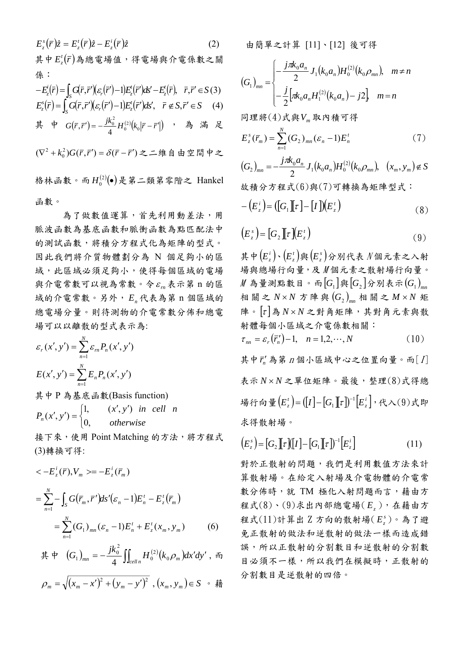$$
E_z^s(\bar{r})\hat{z} = E_z'(\bar{r})\hat{z} - E_z'(\bar{r})\hat{z}
$$
(2)  
\n
$$
\begin{aligned}\n\ddot{z} &= E_z'(\bar{r})\hat{z} - E_z'(\bar{r})\hat{z} \\
\dot{z} &= E_z'(\bar{r}) = \int_S G(\bar{r}, \bar{r}')(\varepsilon_r(\bar{r}') - 1)E_z'(\bar{r}')ds' - E_z'(\bar{r}), \quad \bar{r}, \bar{r}' \in S(3) \\
E_z^s(\bar{r}) &= \int_S G(\bar{r}, \bar{r}')(\varepsilon_r(\bar{r}') - 1)E_z'(\bar{r}')ds', \quad \bar{r} \notin S, \bar{r}' \in S(4) \\
\dot{z} &= \frac{\partial}{\partial s} \int_S G(\bar{r}, \bar{r}') = -\frac{\partial}{\partial t_0} \int_S G(\bar{r}, \bar{r}') - \frac{\partial}{\partial t} \int_S G(\bar{r}, \bar{r}') = \frac{\partial}{\partial s} \int_S \hat{z} - \frac{\partial}{\partial t} \hat{z} + \frac{\partial}{\partial t} \hat{z} + \frac{\partial}{\partial t} \hat{z} + \frac{\partial}{\partial t} \hat{z} + \frac{\partial}{\partial t} \hat{z} + \frac{\partial}{\partial t} \hat{z} + \frac{\partial}{\partial t} \hat{z} + \frac{\partial}{\partial t} \hat{z} + \frac{\partial}{\partial t} \hat{z} + \frac{\partial}{\partial t} \hat{z} + \frac{\partial}{\partial t} \hat{z} + \frac{\partial}{\partial t} \hat{z} + \frac{\partial}{\partial t} \hat{z} + \frac{\partial}{\partial t} \hat{z} + \frac{\partial}{\partial t} \hat{z} + \frac{\partial}{\partial t} \hat{z} + \frac{\partial}{\partial t} \hat{z} + \frac{\partial}{\partial t} \hat{z} + \frac{\partial}{\partial t} \hat{z} + \frac{\partial}{\partial t} \hat{z} + \frac{\partial}{\partial t} \hat{z} + \frac{\partial}{\partial t} \hat{z} + \frac{\partial}{\partial t} \hat{z} + \frac{\partial}{\partial t} \hat{z} + \frac{\partial}{\partial t} \hat{z} + \frac{\partial}{\partial t} \hat{z} + \frac{\partial}{\partial t} \hat
$$

函數。

 為了做數值運算,首先利用動差法,用 脈波函數為基底函數和脈衝函數為點匹配法中 的測試函數,將積分方程式化為矩陣的型式。 因此我們將介質物體劃分為 N 個足夠小的區 域,此區域必須足夠小,使得每個區域的電場 與介電常數可以視為常數。令 εm表示第 n 的區 域的介電常數。另外, *En* 代表為第 n 個區域的 總電場分量。則待測物的介電常數分佈和總電 場可以以離散的型式表示為:

$$
\varepsilon_r(x', y') = \sum_{n=1}^N \varepsilon_m P_n(x', y')
$$

$$
E(x', y') = \sum_{n=1}^N E_n P_n(x', y')
$$

其中 P 為基底函數(Basis function)

$$
P_n(x', y') = \begin{cases} 1, & (x', y') \text{ in cell } n \\ 0, & \text{otherwise} \end{cases}
$$

接下來,使用 Point Matching 的方法,將方程式 (3)轉換可得:

$$
\langle -E_z^i(\bar{r}), V_m \rangle = -E_z^i(\bar{r}_m)
$$
  
=  $\sum_{n=1}^N - \int_S G(\bar{r}_m, \bar{r}') ds'(\varepsilon_n - 1) E_n^t - E_z^t(\bar{r}_m)$   
=  $\sum_{n=1}^N (G_1)_{mn} (\varepsilon_n - 1) E_n^t + E_z^t(x_m, y_m)$  (6)

$$
\stackrel{\text{4}}{\text{4}} \stackrel{\text{4}}{\text{4}} (G_1)_{mn} = -\frac{jk_0^2}{4} \iint_{celln} H_0^{(2)}(k_0 \rho_m) dx'dy', \; \tilde{m}
$$

$$
\rho_m = \sqrt{(x_m - x')^2 + (y_m - y')^2}, (x_m, y_m) \in S \quad \text{#}
$$

由簡單之計算 [11]、[12] 後可得

$$
(G_1)_{mn} = \begin{cases} -\frac{j\pi k_0 a_n}{2} J_1(k_0 a_n) H_0^{(2)}(k_0 \rho_{mn}), & m \neq n \\ -\frac{j}{2} [\pi k_0 a_n H_1^{(2)}(k_0 a_n) - j2], & m = n \end{cases}
$$

同理將(4)式與*Vm* 取內積可得

$$
E_z^s(\bar{r}_m) = \sum_{n=1}^N (G_2)_{mn} (\varepsilon_n - 1) E_n^t
$$
 (7)

$$
(G_2)_{mn} = -\frac{j\pi k_0 a_n}{2} J_1(k_0 a_n) H_0^{(2)}(k_0 \rho_{mn}), \quad (x_m, y_m) \notin S
$$
  
故積分方経式(6)與(7)可韓換為短降型式:

$$
-\left(E_z^i\right) = \left(\left[G_1\right]\left[\tau\right] - \left[I\right]\right)\left(E_z^i\right) \tag{8}
$$

$$
\left(E_z^s\right) = \left[G_2\right]\left[\tau\right]\left(E_z^t\right) \tag{9}
$$

 $\mathbf{H} \neq (E^{i}_{i}) \cdot (E^{i}_{i})$ 與 $(E^{i}_{i})$ 分別代表 N個元素之入射 場與總場行向量,及 M 個元素之散射場行向量。  $M$  為量測點數目。而 $[G_1]$ 與 $[G_2]$ 分別表示 $(G_1)$ <sub>mn</sub> 相關之  $N \times N$  方陣與 $(G_2)_{mn}$ 相關之  $M \times N$  矩 陣。[<sup>τ</sup> ]為 *N* × *N* 之對角矩陣,其對角元素與散 射體每個小區域之介電係數相關:

$$
\tau_{nn} = \varepsilon_r(\bar{r}_n') - 1, \quad n = 1, 2, \cdots, N \tag{10}
$$

其中 r' 為第 n 個小區域中心之位置向量。而[I] 表示 *N* × *N* 之單位矩陣。最後,整理(8)式得總 場行向量 $\left( E_{z}^{t}\right) =\left( \left[ I\right] -\left[ G_{1}\right] \left[ \tau\right] \right) ^{-1}\left[ E_{z}^{i}\right]$ ,代入 $\left( 9\right)$ 式即 求得散射場。

$$
\left(E_z^s\right) = \left[G_2\left[\!\left[\tau\right]\!\right][I\right] - \left[G_1\left[\!\left[\tau\right]\!\right]^{-1}\!\left[E_z^i\right]\right] \tag{11}
$$

對於正散射的問題,我們是利用數值方法來計 算散射場。在給定入射場及介電物體的介電常 數分佈時,就 TM 極化入射問題而言,藉由方 程式(8)、(9)求出內部總電場( *Ez* ),在藉由方 程式(11)計算出 Z 方向的散射場( *<sup>s</sup> Ez* )。為了避 免正散射的做法和逆散射的做法一樣而造成錯 誤,所以正散射的分割數目和逆散射的分割數 目必須不一樣,所以我們在模擬時,正散射的 分割數目是逆散射的四倍。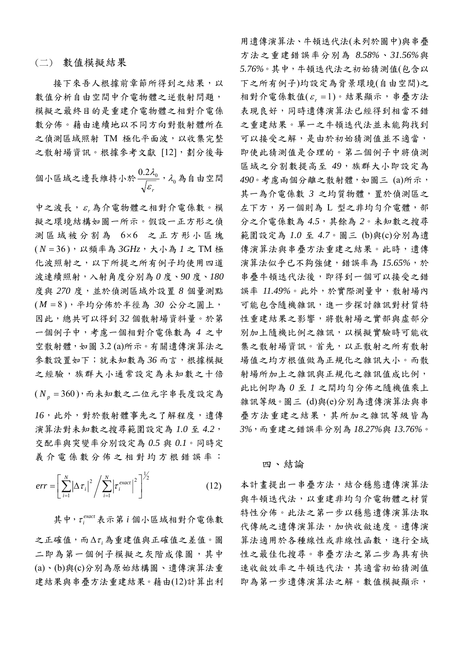#### (二) 數值模擬結果

接下來吾人根據前章節所得到之結果,以 數值分析自由空間中介電物體之逆散射問題, 模擬之最終目的是重建介電物體之相對介電係 數分佈。藉由連續地以不同方向對散射體所在 之偵測區域照射 TM 極化平面波,以收集完整 之散射場資訊。根據參考文獻 [12],劃分後每

個小區城之漫画長維持小於
$$
\frac{0.2\lambda_{0}}{\sqrt{\varepsilon_{r}}}\cdot\lambda_{0}
$$
為自由空間

中之波長, *<sup>r</sup>* <sup>ε</sup> 為介電物體之相對介電係數。模 擬之環境結構如圖一所示。假設一正方形之偵 測區域被分割為 6×6 之正方形小區塊 ( *N* = 36 ),以頻率為 *3GHz*,大小為 *1* 之 TM 極 化波照射之,以下所提之所有例子均使用四道 波連續照射,入射角度分別為 *0* 度、*90* 度、*180* 度與 *270* 度,並於偵測區域外設置 *8* 個量測點 ( *M* = 8 ),平均分佈於半徑為 *30* 公分之圓上, 因此,總共可以得到 *32* 個散射場資料量。於第 一個例子中,考慮一個相對介電係數為 *4* 之中 空散射體,如圖 3.2 (a)所示。有關遺傳演算法之 參數設置如下;就未知數為 *36* 而言,根據模擬 之經驗,族群大小通常設定為未知數之十倍

 $(N_p = 360)$ ,而未知數之二位元字串長度設定為 *16*,此外,對於散射體事先之了解程度,遺傳 演算法對未知數之搜尋範圍設定為 *1.0* 至 *4.2*, 交配率與突變率分別設定為 *0.5* 與 *0.1*。同時定 義介電係數分佈之相對均方根錯誤率:

$$
err = \left[\sum_{i=1}^{N} \left|\Delta \tau_i\right|^2 / \sum_{i=1}^{N} \left|\tau_i^{exact}\right|^2\right]^{1/2} \tag{12}
$$

其中,  $\tau_i^{exact}$ 表示第 *i* 個小區域相對介電係數 之正確值,而 *<sup>i</sup>* Δ<sup>τ</sup> 為重建值與正確值之差值。圖 二即為第一個例子模擬之灰階成像圖,其中 (a)、(b)與(c)分別為原始結構圖、遺傳演算法重 建結果與串疊方法重建結果。藉由(12)計算出利

用遺傳演算法、牛頓迭代法(未列於圖中)與串疊 方法之重建錯誤率分別為 *8.58%*、*31.56%*與 *5.76%*。其中,牛頓迭代法之初始猜測值(包含以 下之所有例子)均設定為背景環境(自由空間)之 相對介電係數值(ε, =1)。結果顯示,串疊方法 表現良好,同時遺傳演算法已經得到相當不錯 之重建結果。單一之牛頓迭代法並未能夠找到 可以接受之解,是由於初始猜測值並不適當, 即使此猜測值是合理的。第二個例子中將偵測 區域之分割數提高至 *49*,族群大小即設定為 *490*。考慮兩個分離之散射體,如圖三 (a)所示, 其一為介電係數 3 之均質物體,置於偵測區之 左下方,另一個則為 L 型之非均勻介電體,部 分之介電係數為 *4.5*,其餘為 *2*。未知數之搜尋 範圍設定為 *1.0* 至 *4.7*。圖三 (b)與(c)分別為遺 傳演算法與串疊方法重建之結果。此時,遺傳 演算法似乎已不夠強健,錯誤率為 *15.65%*,於 串疊牛頓迭代法後,即得到一個可以接受之錯 誤率 *11.49%*。此外,於實際測量中,散射場內 可能包含隨機雜訊,進一步探討雜訊對材質特 性重建結果之影響,將散射場之實部與虛部分 別加上隨機比例之雜訊,以模擬實驗時可能收 集之散射場資訊。首先,以正散射之所有散射 場值之均方根值做為正規化之雜訊大小。而散 射場所加上之雜訊與正規化之雜訊值成比例, 此比例即為 *0* 至 *1* 之間均勻分佈之隨機值乘上 雜訊等級。圖三 (d)與(e)分別為遺傳演算法與串 疊方法重建之結果,其所加之雜訊等級皆為 *3%*,而重建之錯誤率分別為 *18.27%*與 *13.76%*。

#### 四、結論

本計畫提出一串疊方法,結合穩態遺傳演算法 與牛頓迭代法,以重建非均勻介電物體之材質 特性分佈。此法之第一步以穩態遺傳演算法取 代傳統之遺傳演算法,加快收斂速度。遺傳演 算法適用於各種線性或非線性函數,進行全域 性之最佳化搜尋。串疊方法之第二步為具有快 速收斂效率之牛頓迭代法,其適當初始猜測值 即為第一步遺傳演算法之解。數值模擬顯示,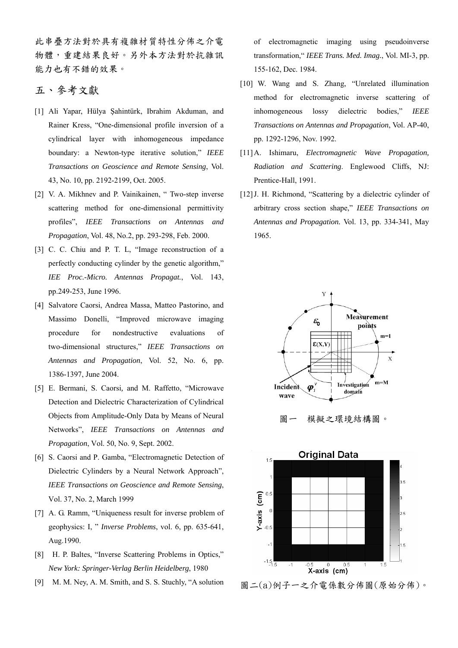此串疊方法對於具有複雜材質特性分佈之介電 物體,重建結果良好。另外本方法對於抗雜訊 能力也有不錯的效果。

## 五、參考文獻

- [1] Ali Yapar, Hülya Şahintürk, Ibrahim Akduman, and Rainer Kress, "One-dimensional profile inversion of a cylindrical layer with inhomogeneous impedance boundary: a Newton-type iterative solution," *IEEE Transactions on Geoscience and Remote Sensing*, Vol. 43, No. 10, pp. 2192-2199, Oct. 2005.
- [2] V. A. Mikhnev and P. Vainikainen, " Two-step inverse scattering method for one-dimensional permittivity profiles", *IEEE Transactions on Antennas and Propagation*, Vol. 48, No.2, pp. 293-298, Feb. 2000.
- [3] C. C. Chiu and P. T. L, "Image reconstruction of a perfectly conducting cylinder by the genetic algorithm," *IEE Proc.-Micro. Antennas Propagat.*, Vol. 143, pp.249-253, June 1996.
- [4] Salvatore Caorsi, Andrea Massa, Matteo Pastorino, and Massimo Donelli, "Improved microwave imaging procedure for nondestructive evaluations of two-dimensional structures," *IEEE Transactions on Antennas and Propagation*, Vol. 52, No. 6, pp. 1386-1397, June 2004.
- [5] E. Bermani, S. Caorsi*,* and M. Raffetto, "Microwave Detection and Dielectric Characterization of Cylindrical Objects from Amplitude-Only Data by Means of Neural Networks", *IEEE Transactions on Antennas and Propagation*, Vol. 50, No. 9, Sept. 2002.
- [6] S. Caorsi and P. Gamba, "Electromagnetic Detection of Dielectric Cylinders by a Neural Network Approach", *IEEE Transactions on Geoscience and Remote Sensing*, Vol. 37, No. 2, March 1999
- [7] A. G. Ramm, "Uniqueness result for inverse problem of geophysics: I, " *Inverse Problems*, vol. 6, pp. 635-641, Aug.1990.
- [8] H. P. Baltes, "Inverse Scattering Problems in Optics," *New York: Springer-Verlag Berlin Heidelberg*, 1980
- [9] M. M. Ney, A. M. Smith, and S. S. Stuchly, "A solution

of electromagnetic imaging using pseudoinverse transformation," *IEEE Trans. Med. Imag.*, Vol. MI-3, pp. 155-162, Dec. 1984.

- [10] W. Wang and S. Zhang, "Unrelated illumination method for electromagnetic inverse scattering of inhomogeneous lossy dielectric bodies," *IEEE Transactions on Antennas and Propagation*, Vol. AP-40, pp. 1292-1296, Nov. 1992.
- [11]A. Ishimaru, *Electromagnetic Wave Propagation, Radiation and Scattering*. Englewood Cliffs, NJ: Prentice-Hall, 1991.
- [12] J. H. Richmond, "Scattering by a dielectric cylinder of arbitrary cross section shape," *IEEE Transactions on Antennas and Propagation.* Vol. 13, pp. 334-341, May 1965.



圖一 模擬之環境結構圖。



圖二(a)例子一之介電係數分佈圖(原始分佈)。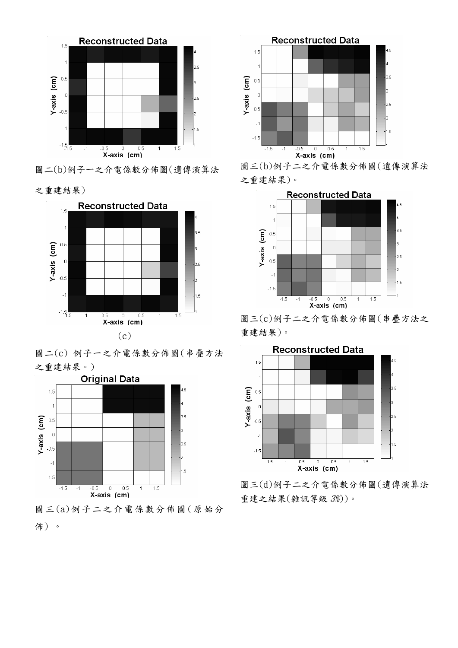

圖二(b)例子一之介電係數分佈圖(遺傳演算法

之重建結果)



圖二(c) 例子一之介電係數分佈圖(串疊方法 之重建結果。)



圖三 (a)例子二之介電係數分佈圖 (原始分 佈) 。



圖三(b)例子二之介電係數分佈圖(遺傳演算法 之重建結果)。



圖三(c)例子二之介電係數分佈圖(串疊方法之 重建結果)。



圖三(d)例子二之介電係數分佈圖(遺傳演算法 重建之結果(雜訊等級 3%))。